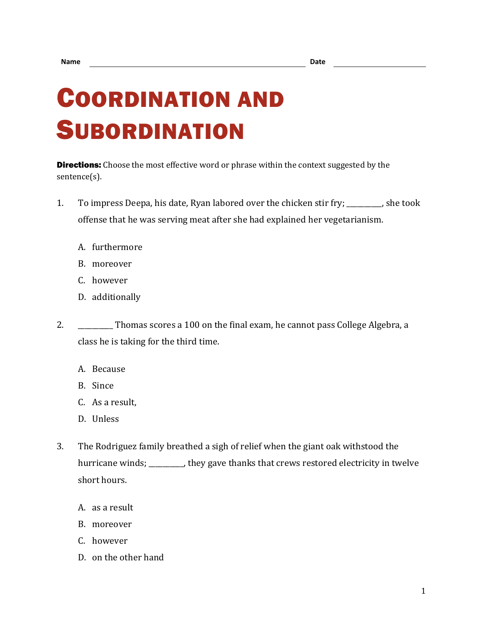## COORDINATION AND **SUBORDINATION**

**Directions:** Choose the most effective word or phrase within the context suggested by the sentence(s).

- 1. To impress Deepa, his date, Ryan labored over the chicken stir fry; \_\_\_\_\_\_\_\_\_\_, she took offense that he was serving meat after she had explained her vegetarianism.
	- A. furthermore
	- B. moreover
	- C. however
	- D. additionally
- 2. \_\_\_\_\_\_\_\_ Thomas scores a 100 on the final exam, he cannot pass College Algebra, a class he is taking for the third time.
	- A. Because
	- B. Since
	- C. As a result,
	- D. Unless
- 3. The Rodriguez family breathed a sigh of relief when the giant oak withstood the hurricane winds; \_\_\_\_\_\_\_\_, they gave thanks that crews restored electricity in twelve short hours.
	- A. as a result
	- B. moreover
	- C. however
	- D. on the other hand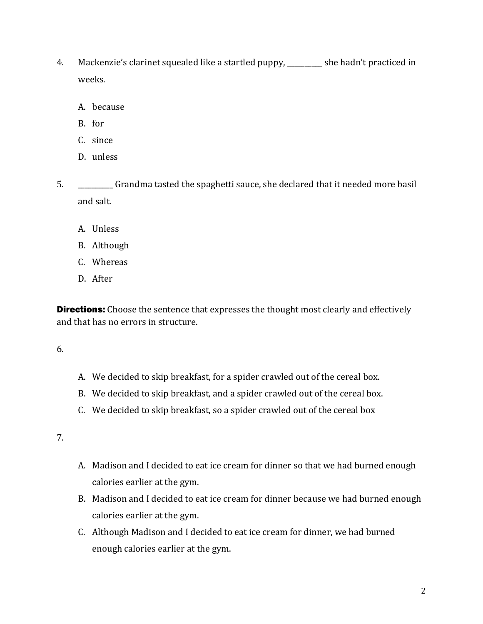- 4. Mackenzie's clarinet squealed like a startled puppy, \_\_\_\_\_\_\_\_\_\_ she hadn't practiced in weeks.
	- A. because
	- B. for
	- C. since
	- D. unless
- 5. \_\_\_\_\_\_\_\_\_\_ Grandma tasted the spaghetti sauce, she declared that it needed more basil and salt.
	- A. Unless
	- B. Although
	- C. Whereas
	- D. After

**Directions:** Choose the sentence that expresses the thought most clearly and effectively and that has no errors in structure.

## 6.

- A. We decided to skip breakfast, for a spider crawled out of the cereal box.
- B. We decided to skip breakfast, and a spider crawled out of the cereal box.
- C. We decided to skip breakfast, so a spider crawled out of the cereal box

## 7.

- A. Madison and I decided to eat ice cream for dinner so that we had burned enough calories earlier at the gym.
- B. Madison and I decided to eat ice cream for dinner because we had burned enough calories earlier at the gym.
- C. Although Madison and I decided to eat ice cream for dinner, we had burned enough calories earlier at the gym.